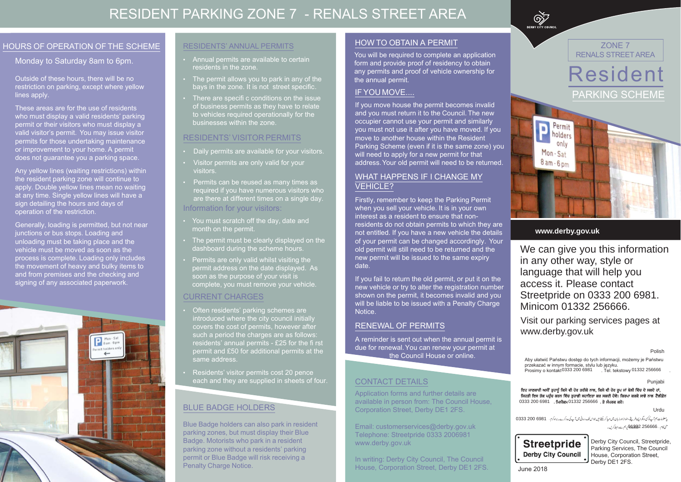#### **www.derby.gov.uk**

We can give you this informationin any other way, style or language that will help you access it. Please contact Streetpride on 0333 200 6981. Minicom 01332 256666.

Visit our parking services pages at www.derby.gov.uk



Aby ułatwić Państwu dostęp do tych informacji, możemy je Państwu przekazać w innym formacie, stylu lub języku. Prosimy o kontakt: 01332 ……………. Tel. tekstowy: 01332 .................. 0333 200 6981 01332 256666

Urdu

یه معلومات ہم آپ کو کن دیگرا پسے طریقے،اندازاورز بان میں مہیا کر سکتے ہیں جواس تک رسائی میں آپ کی دیکھ کے 200 0333 منى كام....256666 **256666 ب**رہم سےرابطہ كريں۔



Punjabi

ਇਹ ਜਾਣਕਾਰੀ ਅਸੀਂ ਤੁਹਾਨੂੰ ਕਿਸੇ ਵੀ ਹੋਰ ਤਰੀਕੇ ਨਾਲ, ਕਿਸੇ ਵੀ ਹੋਰ ਰੂਪ ਜਾਂ ਬੋਲੀ ਵਿੱਚ ਦੇ ਸਕਦੇ ਹਾਂ, ਜਿਹੜੀ ਇਸ ਤੱਕ ਪਹੁੰਚ ਕਰਨ ਵਿੱਚ ਤੁਹਾਡੀ ਸਹਾਇਤਾ ਕਰ ਸਕਦੀ ਹੋਵੇ। ਕਿਰਪਾ ਕਰਕੇ ਸਾਡੇ ਨਾਲ ਟੈਲੀਫ਼ੋਨ 0333 200 6981 **. ਮਿਨੀਕਮ** 01332 256666 **. ਤੇ ਸੰਪਰਕ ਕਰੋ**।

Polish

#### HOURS OF OPERATION OF THE SCHEME

#### Monday to Saturday 8am to 6pm.

Outside of these hours, there will be no restriction on parking, except where yellow lines apply.

These areas are for the use of residents who must display a valid residents' parking permit or their visitors who must display a valid visitor's permit. You may issue visitor permits for those undertaking maintenance or improvement to your home. A permit does not guarantee you a parking space.

Any yellow lines (waiting restrictions) within the resident parking zone will continue to apply. Double yellow lines mean no waiting at any time. Single yellow lines will have a sign detailing the hours and days of operation of the restriction.

Generally, loading is permitted, but not near junctions or bus stops. Loading and unloading must be taking place and the vehicle must be moved as soon as the process is complete. Loading only includes the movement of heavy and bulky items to and from premises and the checking and signing of any associated paperwork.



### BLUE BADGE HOLDERS

Blue Badge holders can also park in resident parking zones, but must display their Blue Badge. Motorists who park in a resident parking zone without a residents' parking permit or Blue Badge will risk receiving a Penalty Charge Notice.

#### RESIDENTS' ANNUAL PERMITS

- Annual permits are available to certain residents in the zone.
- The permit allows you to park in any of the bays in the zone. It is not street specific.
- There are specific conditions on the issue of business permits as they have to relate to vehicles required operationally for the businesses within the zone.

#### RESIDENTS' VISITOR PERMITS

- Daily permits are available for your visitors.
- Visitor permits are only valid for your visitors.
- Permits can be reused as many times as required if you have numerous visitors who are there at different times on a single day.Information for your visitors:
- You must scratch off the day, date and month on the permit.
- The permit must be clearly displayed on the dashboard during the scheme hours.
- Permits are only valid whilst visiting the permit address on the date displayed. As soon as the purpose of your visit is complete, you must remove your vehicle.

#### CURRENT CHARGES

- Often residents' parking schemes are introduced where the city council initially covers the cost of permits, however after such a period the charges are as follows: residents' annual permits - £25 for the fi rst permit and £50 for additional permits at the same address.
- Residents' visitor permits cost 20 pence each and they are supplied in sheets of four.

#### HOW TO OBTAIN A PERMIT

 You will be required to complete an application form and provide proof of residency to obtain any permits and proof of vehicle ownership for the annual permit.

#### IF YOU MOVE....

## RESIDENT PARKING ZONE 7 - RENALS STREET AREA

June 2018

If you move house the permit becomes invalid and you must return it to the Council. The new occupier cannot use your permit and similarly you must not use it after you have moved. If you move to another house within the Resident Parking Scheme (even if it is the same zone) you will need to apply for a new permit for that address. Your old permit will need to be returned.

#### WHAT HAPPENS IF I CHANGE MY VEHICLE?

Firstly, remember to keep the Parking Permit when you sell your vehicle. It is in your own interest as a resident to ensure that nonresidents do not obtain permits to which they are not entitled. If you have a new vehicle the details of your permit can be changed accordingly. Your old permit will still need to be returned and the new permit will be issued to the same expiry date.

If you fail to return the old permit, or put it on the new vehicle or try to alter the registration number shown on the permit, it becomes invalid and you will be liable to be issued with a Penalty Charge Notice.

#### RENEWAL OF PERMITS

A reminder is sent out when the annual permit is due for renewal. You can renew your permit at \_\_\_\_\_\_\_\_\_the Council House or online.

#### CONTACT DETAILS

 Application forms and further details are available in person from: The Council House,Corporation Street, Derby DE1 2FS.

Email: customerservices@derby.gov.uk Telephone: Streetpride 0333 2006981www.derby.gov.uk

In writing: Derby City Council, The CouncilHouse, Corporation Street, Derby DE1 2FS. Derby City Council, Streetpride,Parking Services, The CouncilHouse, Corporation Street, Derby DE1 2FS.